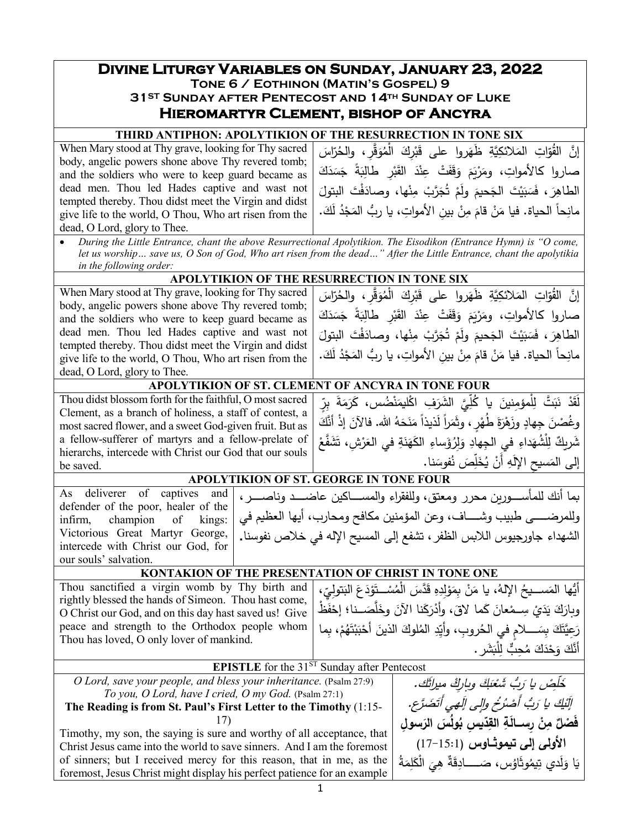# **Divine Liturgy Variables on Sunday, January 23, 2022 Tone 6 / Eothinon (Matin's Gospel) <sup>9</sup>**

**31ST Sunday after Pentecost and 14th Sunday of Luke**

## **Hieromartyr Clement, bishop of Ancyra**

### **THIRD ANTIPHON: APOLYTIKION OF THE RESURRECTION IN TONE SIX**

| When Mary stood at Thy grave, looking for Thy sacred                                                                                                                                                                                                               | إِنَّ  القُوَّاتِ  المَلائكِيَّةِ   ظَهَروا   على   قَبْرِكَ   الْمُوَقَّرِ ،   والحُرّاسَ |  |  |  |
|--------------------------------------------------------------------------------------------------------------------------------------------------------------------------------------------------------------------------------------------------------------------|--------------------------------------------------------------------------------------------|--|--|--|
| body, angelic powers shone above Thy revered tomb;<br>and the soldiers who were to keep guard became as                                                                                                                                                            | صاروا كالأمواتِ، ومَرْبَعَ وَقَفَتْ عِنْدَ الْقَبْرِ طَالِبَةً جَسَدَكَ                    |  |  |  |
| dead men. Thou led Hades captive and wast not                                                                                                                                                                                                                      | الطاهِرَ ، فَسَبَيْتَ الْجَحيمَ ولَمْ تُجَرَّبْ مِنْها، وصادَفْتَ البتولَ                  |  |  |  |
| tempted thereby. Thou didst meet the Virgin and didst                                                                                                                                                                                                              | مانِحاً الحياة. فيا مَنْ قامَ مِنْ بين الأمواتِ، يا ربُّ المَجْدُ لَكَ.                    |  |  |  |
| give life to the world, O Thou, Who art risen from the<br>dead, O Lord, glory to Thee.                                                                                                                                                                             |                                                                                            |  |  |  |
| During the Little Entrance, chant the above Resurrectional Apolytikion. The Eisodikon (Entrance Hymn) is "O come,<br>let us worship save us, O Son of God, Who art risen from the dead" After the Little Entrance, chant the apolytikia<br>in the following order: |                                                                                            |  |  |  |
| APOLYTIKION OF THE RESURRECTION IN TONE SIX                                                                                                                                                                                                                        |                                                                                            |  |  |  |
| When Mary stood at Thy grave, looking for Thy sacred                                                                                                                                                                                                               | إِنَّ  القُوّاتِ  المَلائكِيَّةِ   ظَهَروا   على   قَبْرِكَ   الْمُوَقَّرِ ،   والحُرّاسَ  |  |  |  |
| body, angelic powers shone above Thy revered tomb;<br>and the soldiers who were to keep guard became as                                                                                                                                                            | صاروا كالأمواتِ، ومَرْيَمَ وَقَفَتْ عِنْدَ الْقَبْرِ طَالِبَةً جَسَدَكَ                    |  |  |  |
| dead men. Thou led Hades captive and wast not                                                                                                                                                                                                                      | الطاهِرَ ، فَسَبَيْتَ الْجَحيمَ ولَمْ تُجَرَّبْ مِنْها، وصادَفْتَ البتولَ                  |  |  |  |
| tempted thereby. Thou didst meet the Virgin and didst<br>give life to the world, O Thou, Who art risen from the                                                                                                                                                    | مانِحاً الحياة. فيا مَنْ قامَ مِنْ بين الأمواتِ، يا ربُّ المَجْدُ لَكَ.                    |  |  |  |

dead, O Lord, glory to Thee.

### **APOLYTIKION OF ST. CLEMENT OF ANCYRA IN TONE FOUR**

| Thou didst blossom forth for the faithful, O most sacred |
|----------------------------------------------------------|
| Clement, as a branch of holiness, a staff of contest, a  |
| most sacred flower, and a sweet God-given fruit. But as  |
| a fellow-sufferer of martyrs and a fellow-prelate of     |
| hierarchs, intercede with Christ our God that our souls  |
| be saved.                                                |

لَقَدْ نَبَتَّ لِلْمؤمِنينَ يا كُلِّيَّ الشَّرَفِ اكْليمَنْضُس َ ِ َّي َ الشر ل ُّ َ �ا � ْل ِ مؤمنین ّ <sup>ل</sup> ، ِ َ َة ِ بٍر َم َر � وغُصْنَ جِهادٍ وزَهْرَةَ طُهْرٍ ، وثَمَراً لَذيذاً مَنَحَهُ الله. فالآنَ إذْ أنَّكَ ْ ثَىريكٌ لِلْشُهَداءِ فِي الْجِهادِ وَلِرُؤَساءِ الْكَهَنَةِ في الْعَرْشِ، تَشَفَّعْ إِلَى الْمَسيحِ الإِلَٰهِ أَنْ يُخَلِّصَ نُفُوسَنا.<br>APOLYTIKION OF ST. GEORGE IN TONE FOUR

|                                     | ابما أنك للمأســـورين محرر ومعتق، وللفقراء والمســـاكين عاضــــد وناصــــر ،   As deliverer of captives and                 |
|-------------------------------------|-----------------------------------------------------------------------------------------------------------------------------|
| defender of the poor, healer of the |                                                                                                                             |
|                                     | والمرضــــي طبيب وشـــاف، وعن المؤمنين مكافح ومحارب، أيها العظيم في   :infirm,    champion    of    kings:   أيها العظيم في |
| Victorious Great Martyr George,     | الشهداء جاورجيوس اللابس الظفر ، تشفع إلى المسيح الإله في خلاص نفوسنا.                                                       |
| intercede with Christ our God, for  |                                                                                                                             |
| our souls' salvation.               |                                                                                                                             |

### **KONTAKION OF THE PRESENTATION OF CHRIST IN TONE ONE**

Thou sanctified a virgin womb by Thy birth and rightly blessed the hands of Simeon. Thou hast come, O Christ our God, and on this day hast saved us! Give peace and strength to the Orthodox people whom Thou has loved, O only lover of mankind. أَيُّها المَســـيحُ الإِلهُ، يا مَنْ بِمَوْلِدِهِ قَدَّسَ الْمُسْـــتَوْدَعَ البَتولِيِّ،<br>أَيُّها المَســـيحُ الإِلهُ، يا مَنْ بِمَوْلِدِهِ .<br>י ْ وبارَكَ يَدَيْ سِـمْعانَ كَما لاقَ، وأدْرَكَنا الآنَ وخَلَّصَــنا؛ إحْفَظْ .<br>ا رَعِيَّتَكَ بِسَـــــلامٍ في الـحُروبِ، وأَيِّدِ المُلوكَ الذينَ أَحْبَبْتَهُمْ، بِما<br>تَعَيَّتَكَ بَسَــــلامٍ ْ **ٔ** .<br>. أَنَّكَ وَحْذَكَ مُحِبٌّ لِلْبَشَرِ .<br>.

### **EPISTLE** for the 31<sup>ST</sup> Sunday after Pentecost

*O Lord, save your people, and bless your inheritance.* (Psalm 27:9) *To you, O Lord, have I cried, O my God.* (Psalm 27:1) .

### **The Reading is from St. Paul's First Letter to the Timothy** (1:15- 17)

Timothy, my son, the saying is sure and worthy of all acceptance, that Christ Jesus came into the world to save sinners. And I am the foremost of sinners; but I received mercy for this reason, that in me, as the foremost, Jesus Christ might display his perfect patience for an example

| خَلْصْ يا رَبُّ شَعْبَكَ وباركْ ميراثَك.                 |
|----------------------------------------------------------|
| إِلَيْكَ يا رَبُّ أَصْرُخُ وإلى إِلَهي أَتَضَرَّعِ.      |
| فَصْلٌ مِنْ رِسسالَةِ القِدّيسِ بُولُسَ الرَسولِ         |
| الأولى إلى تيموثـاوس (15:1–17)                           |
| يَا وَلَدي تِيمُوثَاوُس، صَـــــادِقَةٌ هِيَ الْكَلِمَةُ |